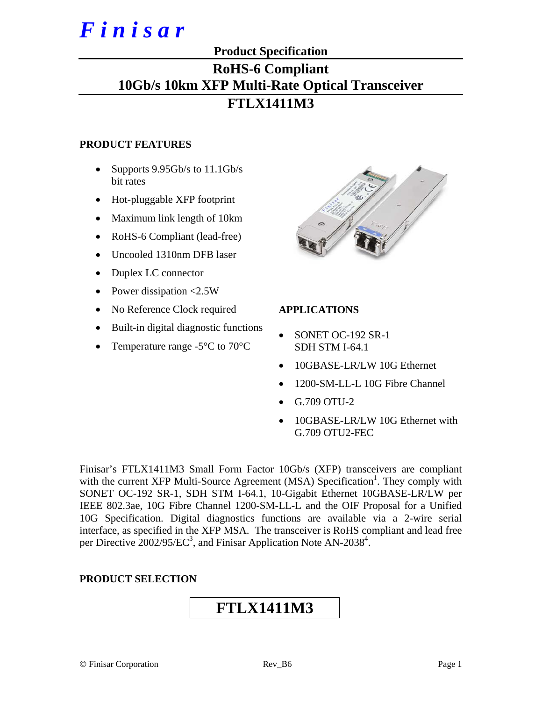# *F i n i s a r*

# **Product Specification RoHS-6 Compliant 10Gb/s 10km XFP Multi-Rate Optical Transceiver FTLX1411M3**

## **PRODUCT FEATURES**

- Supports 9.95Gb/s to 11.1Gb/s bit rates
- Hot-pluggable XFP footprint
- Maximum link length of 10km
- RoHS-6 Compliant (lead-free)
- Uncooled 1310nm DFB laser
- Duplex LC connector
- Power dissipation <2.5W
- No Reference Clock required
- Built-in digital diagnostic functions
- Temperature range  $-5^{\circ}$ C to  $70^{\circ}$ C



#### **APPLICATIONS**

- SONET OC-192 SR-1 SDH STM I-64.1
- 10GBASE-LR/LW 10G Ethernet
- 1200-SM-LL-L 10G Fibre Channel
- G.709 OTU-2
- 10GBASE-LR/LW 10G Ethernet with G.709 OTU2-FEC

Finisar's FTLX1411M3 Small Form Factor 10Gb/s (XFP) transceivers are compliant with the current XFP Multi-Source Agreement (MSA) Specification<sup>1</sup>. They comply with SONET OC-192 SR-1, SDH STM I-64.1, 10-Gigabit Ethernet 10GBASE-LR/LW per IEEE 802.3ae, 10G Fibre Channel 1200-SM-LL-L and the OIF Proposal for a Unified 10G Specification. Digital diagnostics functions are available via a 2-wire serial interface, as specified in the XFP MSA. The transceiver is RoHS compliant and lead free per Directive  $2002/95/EC^3$ , and Finisar Application Note AN-2038<sup>4</sup>.

## **PRODUCT SELECTION**

# **FTLX1411M3**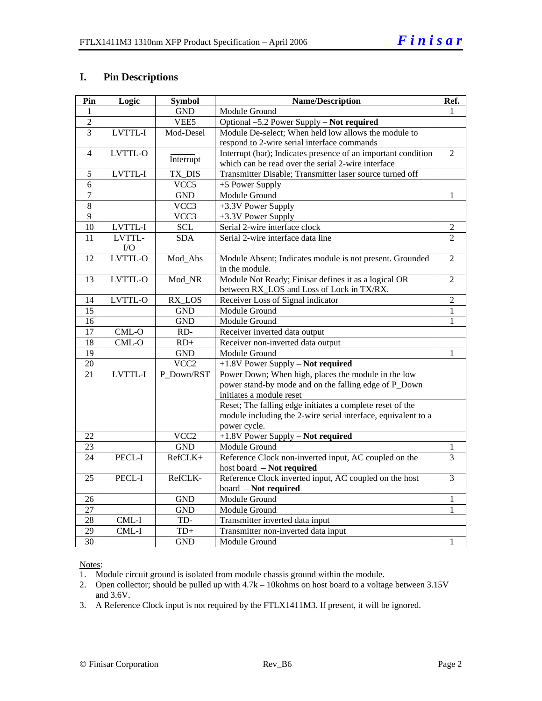#### **I. Pin Descriptions**

| Pin             | Logic          | <b>Symbol</b>      | <b>Name/Description</b>                                       | Ref.           |
|-----------------|----------------|--------------------|---------------------------------------------------------------|----------------|
| 1               |                | <b>GND</b>         | Module Ground                                                 | 1              |
| $\overline{2}$  |                | VEE <sub>5</sub>   | Optional -5.2 Power Supply - Not required                     |                |
| $\overline{3}$  | LVTTL-I        | Mod-Desel          | Module De-select; When held low allows the module to          |                |
|                 |                |                    | respond to 2-wire serial interface commands                   |                |
| $\overline{4}$  | <b>LVTTL-O</b> |                    | Interrupt (bar); Indicates presence of an important condition | $\overline{2}$ |
|                 |                | Interrupt          | which can be read over the serial 2-wire interface            |                |
| 5               | LVTTL-I        | TX_DIS             | Transmitter Disable; Transmitter laser source turned off      |                |
| 6               |                | VCC5               | +5 Power Supply                                               |                |
| $\overline{7}$  |                | <b>GND</b>         | Module Ground                                                 | 1              |
| 8               |                | $\overline{VCC}$ 3 | +3.3V Power Supply                                            |                |
| $\overline{9}$  |                | VCC3               | +3.3V Power Supply                                            |                |
| 10              | LVTTL-I        | <b>SCL</b>         | Serial 2-wire interface clock                                 | 2              |
| 11              | LVTTL-         | <b>SDA</b>         | Serial 2-wire interface data line                             | $\overline{2}$ |
|                 | I/O            |                    |                                                               |                |
| 12              | LVTTL-O        | Mod_Abs            | Module Absent; Indicates module is not present. Grounded      | $\overline{2}$ |
|                 |                |                    | in the module.                                                |                |
| 13              | LVTTL-O        | Mod_NR             | Module Not Ready; Finisar defines it as a logical OR          | $\overline{2}$ |
|                 |                |                    | between RX_LOS and Loss of Lock in TX/RX.                     |                |
| 14              | LVTTL-O        | RX_LOS             | Receiver Loss of Signal indicator                             | $\overline{2}$ |
| 15              |                | <b>GND</b>         | Module Ground                                                 | 1              |
| 16              |                | <b>GND</b>         | Module Ground                                                 | $\mathbf{1}$   |
| $\overline{17}$ | CML-O          | $RD-$              | Receiver inverted data output                                 |                |
| $\overline{18}$ | $CML-O$        | $RD+$              | Receiver non-inverted data output                             |                |
| $\overline{19}$ |                | <b>GND</b>         | Module Ground                                                 | 1              |
| 20              |                | VCC <sub>2</sub>   | +1.8V Power Supply - Not required                             |                |
| 21              | LVTTL-I        | P_Down/RST         | Power Down; When high, places the module in the low           |                |
|                 |                |                    | power stand-by mode and on the falling edge of P_Down         |                |
|                 |                |                    | initiates a module reset                                      |                |
|                 |                |                    | Reset; The falling edge initiates a complete reset of the     |                |
|                 |                |                    | module including the 2-wire serial interface, equivalent to a |                |
|                 |                |                    | power cycle.                                                  |                |
| 22              |                | VCC <sub>2</sub>   | +1.8V Power Supply - Not required                             |                |
| 23              |                | <b>GND</b>         | Module Ground                                                 | 1              |
| 24              | PECL-I         | RefCLK+            | Reference Clock non-inverted input, AC coupled on the         | 3              |
|                 |                |                    | host board - Not required                                     |                |
| 25              | PECL-I         | RefCLK-            | Reference Clock inverted input, AC coupled on the host        | $\overline{3}$ |
|                 |                |                    | board - Not required                                          |                |
| 26              |                | <b>GND</b>         | Module Ground                                                 | 1              |
| 27              |                | <b>GND</b>         | Module Ground                                                 | 1              |
| 28              | $CML-I$        | TD-                | Transmitter inverted data input                               |                |
| 29              | CML-I          | $TD+$              | Transmitter non-inverted data input                           |                |
| $\overline{30}$ |                | <b>GND</b>         | Module Ground                                                 | 1              |

Notes:

1. Module circuit ground is isolated from module chassis ground within the module.

2. Open collector; should be pulled up with 4.7k – 10kohms on host board to a voltage between 3.15V and 3.6V.

3. A Reference Clock input is not required by the FTLX1411M3. If present, it will be ignored.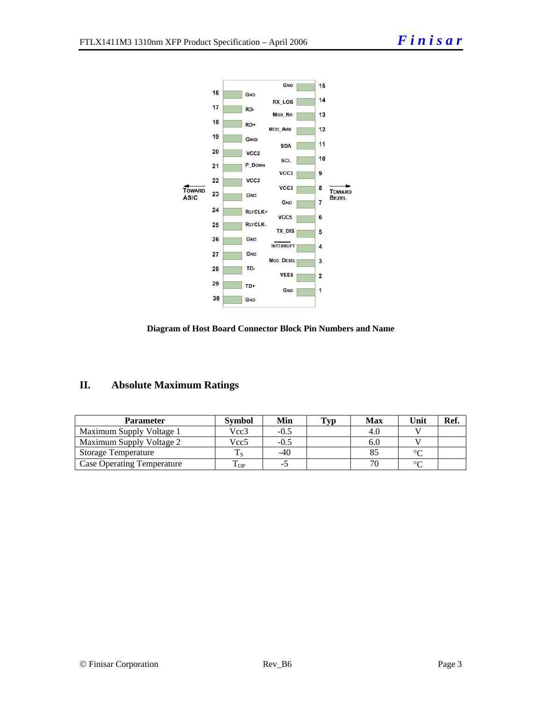



### **II. Absolute Maximum Ratings**

| <b>Parameter</b>                  | <b>Symbol</b> | Min    | Typ | Max | Unit   | Ref. |
|-----------------------------------|---------------|--------|-----|-----|--------|------|
| Maximum Supply Voltage 1          | Vcc3          | $-0.5$ |     |     |        |      |
| Maximum Supply Voltage 2          | Vcc5          | $-0.5$ |     | 6.U |        |      |
| <b>Storage Temperature</b>        |               | $-40$  |     |     | $\sim$ |      |
| <b>Case Operating Temperature</b> | OP.           | - 1    |     |     | $\sim$ |      |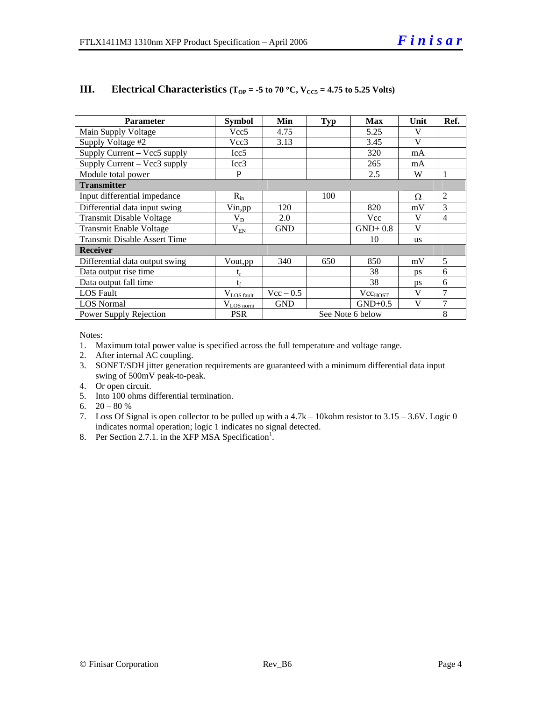| <b>Parameter</b>                    | <b>Symbol</b>          | Min              | <b>Typ</b> | <b>Max</b>          | Unit      | Ref.           |
|-------------------------------------|------------------------|------------------|------------|---------------------|-----------|----------------|
| Main Supply Voltage                 | Vcc5                   | 4.75             |            | 5.25                | V         |                |
| Supply Voltage #2                   | Vcc3                   | 3.13             |            | 3.45                | V         |                |
| Supply Current - Vcc5 supply        | Icc <sub>5</sub>       |                  |            | 320                 | mA        |                |
| Supply Current – Vcc3 supply        | Icc3                   |                  |            | 265                 | mA        |                |
| Module total power                  | P                      |                  |            | 2.5                 | W         | 1              |
| <b>Transmitter</b>                  |                        |                  |            |                     |           |                |
| Input differential impedance        | $R_{in}$               |                  | 100        |                     | Ω         | 2              |
| Differential data input swing       | Vin, pp                | 120              |            | 820                 | mV        | 3              |
| <b>Transmit Disable Voltage</b>     | $V_D$                  | 2.0              |            | Vcc                 | V         | $\overline{4}$ |
| Transmit Enable Voltage             | $V_{EN}$               | <b>GND</b>       |            | $GND+0.8$           | V         |                |
| <b>Transmit Disable Assert Time</b> |                        |                  |            | 10                  | <b>us</b> |                |
| <b>Receiver</b>                     |                        |                  |            |                     |           |                |
| Differential data output swing      | Vout, pp               | 340              | 650        | 850                 | mV        | 5              |
| Data output rise time               | $\mathfrak{t}_{\rm r}$ |                  |            | 38                  | ps        | 6              |
| Data output fall time               | $t_{\rm f}$            |                  |            | 38                  | <b>DS</b> | 6              |
| <b>LOS</b> Fault                    | $V_{LOS$ fault         | $Vec - 0.5$      |            | Vcc <sub>HOST</sub> | V         | 7              |
| <b>LOS</b> Normal                   | $V_{LOS\,norm}$        | <b>GND</b>       |            | $GND+0.5$           | V         | 7              |
| Power Supply Rejection              | <b>PSR</b>             | See Note 6 below |            |                     |           | 8              |

#### **III.** Electrical Characteristics ( $T_{OP} = -5$  to 70 °C,  $V_{CC5} = 4.75$  to 5.25 Volts)

Notes:

- 1. Maximum total power value is specified across the full temperature and voltage range.
- 2. After internal AC coupling.
- 3. SONET/SDH jitter generation requirements are guaranteed with a minimum differential data input swing of 500mV peak-to-peak.
- 4. Or open circuit.
- 5. Into 100 ohms differential termination.
- 6.  $20 80 %$
- 7. Loss Of Signal is open collector to be pulled up with a 4.7k 10kohm resistor to 3.15 3.6V. Logic 0 indicates normal operation; logic 1 indicates no signal detected.
- 8. Per Section 2.7.1. in the XFP MSA Specification<sup>1</sup>.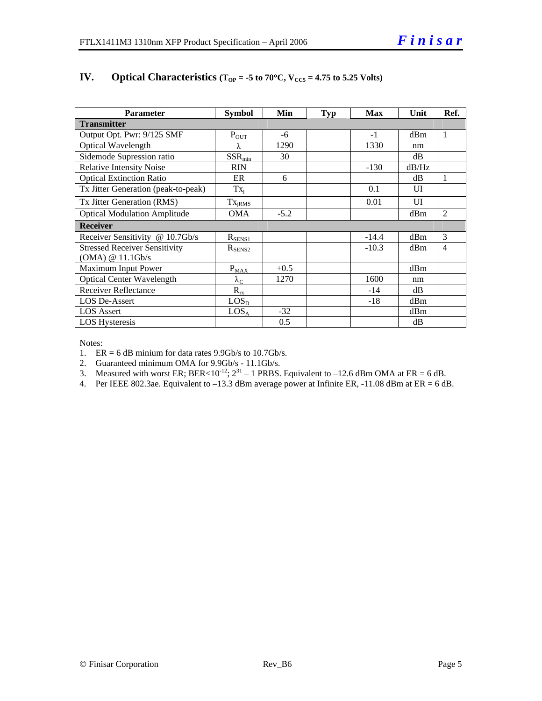| <b>Parameter</b>                     | <b>Symbol</b>          | Min    | <b>Typ</b> | <b>Max</b> | Unit  | Ref.           |  |
|--------------------------------------|------------------------|--------|------------|------------|-------|----------------|--|
| <b>Transmitter</b>                   |                        |        |            |            |       |                |  |
| Output Opt. Pwr: 9/125 SMF           | $P_{\text{OUT}}$       | -6     |            | $-1$       | dBm   | $\mathbf{1}$   |  |
| Optical Wavelength                   | λ                      | 1290   |            | 1330       | nm    |                |  |
| Sidemode Supression ratio            | $SSR_{min}$            | 30     |            |            | dB    |                |  |
| <b>Relative Intensity Noise</b>      | <b>RIN</b>             |        |            | $-130$     | dB/Hz |                |  |
| <b>Optical Extinction Ratio</b>      | ER                     | 6      |            |            | dB    | 1              |  |
| Tx Jitter Generation (peak-to-peak)  | $Tx_i$                 |        |            | 0.1        | UI    |                |  |
| Tx Jitter Generation (RMS)           | $Tx_{jRMS}$            |        |            | 0.01       | UI    |                |  |
| <b>Optical Modulation Amplitude</b>  | <b>OMA</b>             | $-5.2$ |            |            | dBm   | 2              |  |
| <b>Receiver</b>                      |                        |        |            |            |       |                |  |
| Receiver Sensitivity @ 10.7Gb/s      | $R_{SENS1}$            |        |            | $-14.4$    | dBm   | 3              |  |
| <b>Stressed Receiver Sensitivity</b> | $R_{\rm SENS2}$        |        |            | $-10.3$    | dBm   | $\overline{4}$ |  |
| (OMA) @ 11.1Gb/s                     |                        |        |            |            |       |                |  |
| Maximum Input Power                  | $P_{M\underline{AX}}$  | $+0.5$ |            |            | dBm   |                |  |
| <b>Optical Center Wavelength</b>     | $\lambda_{\mathrm{C}}$ | 1270   |            | 1600       | nm    |                |  |
| <b>Receiver Reflectance</b>          | $R_{rx}$               |        |            | $-14$      | dB    |                |  |
| <b>LOS De-Assert</b>                 | LOS <sub>D</sub>       |        |            | -18        | dBm   |                |  |
| <b>LOS</b> Assert                    | LOS <sub>A</sub>       | $-32$  |            |            | dBm   |                |  |
| <b>LOS Hysteresis</b>                |                        | 0.5    |            |            | dB    |                |  |

#### **IV.** Optical Characteristics ( $T_{OP} = -5$  to  $70^{\circ}$ C,  $V_{CC5} = 4.75$  to 5.25 Volts)

Notes:

1.  $ER = 6$  dB minium for data rates 9.9Gb/s to 10.7Gb/s.

2. Guaranteed minimum OMA for 9.9Gb/s - 11.1Gb/s.

3. Measured with worst ER; BER<10<sup>-12</sup>;  $2^{31} - 1$  PRBS. Equivalent to -12.6 dBm OMA at ER = 6 dB.

4. Per IEEE 802.3ae. Equivalent to  $-13.3$  dBm average power at Infinite ER,  $-11.08$  dBm at ER = 6 dB.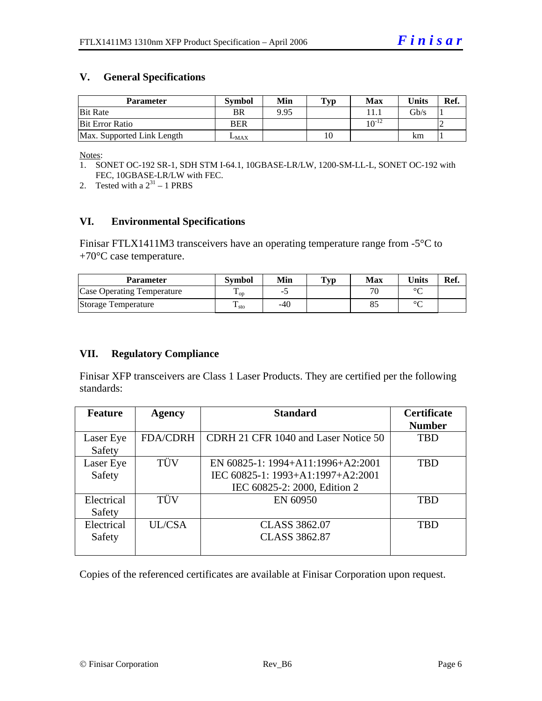#### **V. General Specifications**

| <b>Parameter</b>           | <b>Symbol</b> | Min  | Typ | Max        | <b>Units</b>    | Ref. |
|----------------------------|---------------|------|-----|------------|-----------------|------|
| <b>Bit Rate</b>            | <b>BR</b>     | 9.95 |     |            | $\mathrm{Gb/s}$ |      |
| <b>Bit Error Ratio</b>     | <b>BER</b>    |      |     | $10^{-12}$ |                 |      |
| Max. Supported Link Length | $L_{MAX}$     |      | 10  |            | km              |      |

Notes:

- 1. SONET OC-192 SR-1, SDH STM I-64.1, 10GBASE-LR/LW, 1200-SM-LL-L, SONET OC-192 with FEC, 10GBASE-LR/LW with FEC.
- 2. Tested with a  $2^{31} 1$  PRBS

#### **VI. Environmental Specifications**

Finisar FTLX1411M3 transceivers have an operating temperature range from -5°C to +70°C case temperature.

| Parameter                         | Svmbol            | Min | Typ | Max                      | $\mathbf{v}_{\text{hits}}$ | Ref. |
|-----------------------------------|-------------------|-----|-----|--------------------------|----------------------------|------|
| <b>Case Operating Temperature</b> | $\mathbf{L}_{OD}$ | -   |     | $\overline{\phantom{a}}$ | $\circ$                    |      |
| Storage Temperature               | m<br>$\pm$ sto    | -40 |     | Ō.                       | $\sim$                     |      |

#### **VII. Regulatory Compliance**

Finisar XFP transceivers are Class 1 Laser Products. They are certified per the following standards:

| <b>Feature</b> | <b>Agency</b>   | <b>Standard</b>                      | <b>Certificate</b> |
|----------------|-----------------|--------------------------------------|--------------------|
|                |                 |                                      | <b>Number</b>      |
| Laser Eye      | <b>FDA/CDRH</b> | CDRH 21 CFR 1040 and Laser Notice 50 | TBD                |
| Safety         |                 |                                      |                    |
| Laser Eye      | TÜV             | EN 60825-1: 1994+A11:1996+A2:2001    | TBD                |
| Safety         |                 | IEC 60825-1: 1993+A1:1997+A2:2001    |                    |
|                |                 | IEC 60825-2: 2000, Edition 2         |                    |
| Electrical     | TÜV             | EN 60950                             | <b>TBD</b>         |
| Safety         |                 |                                      |                    |
| Electrical     | UL/CSA          | <b>CLASS 3862.07</b>                 | <b>TBD</b>         |
| Safety         |                 | <b>CLASS 3862.87</b>                 |                    |
|                |                 |                                      |                    |

Copies of the referenced certificates are available at Finisar Corporation upon request.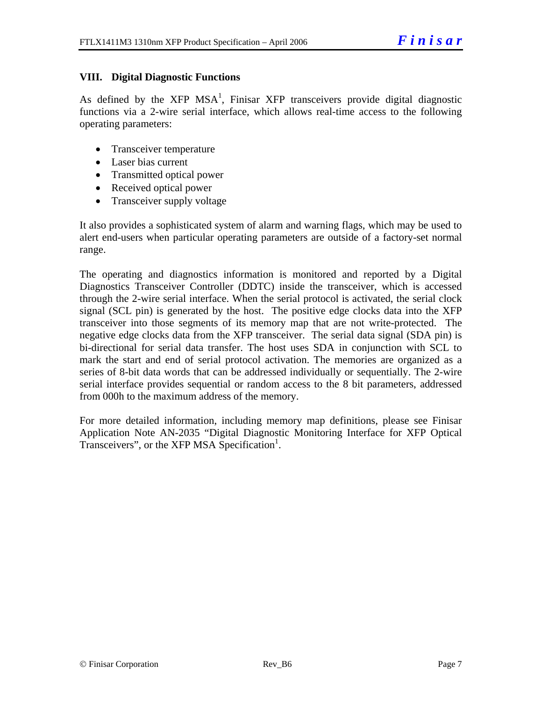#### **VIII. Digital Diagnostic Functions**

As defined by the XFP MSA<sup>1</sup>, Finisar XFP transceivers provide digital diagnostic functions via a 2-wire serial interface, which allows real-time access to the following operating parameters:

- Transceiver temperature
- Laser bias current
- Transmitted optical power
- Received optical power
- Transceiver supply voltage

It also provides a sophisticated system of alarm and warning flags, which may be used to alert end-users when particular operating parameters are outside of a factory-set normal range.

The operating and diagnostics information is monitored and reported by a Digital Diagnostics Transceiver Controller (DDTC) inside the transceiver, which is accessed through the 2-wire serial interface. When the serial protocol is activated, the serial clock signal (SCL pin) is generated by the host. The positive edge clocks data into the XFP transceiver into those segments of its memory map that are not write-protected. The negative edge clocks data from the XFP transceiver. The serial data signal (SDA pin) is bi-directional for serial data transfer. The host uses SDA in conjunction with SCL to mark the start and end of serial protocol activation. The memories are organized as a series of 8-bit data words that can be addressed individually or sequentially. The 2-wire serial interface provides sequential or random access to the 8 bit parameters, addressed from 000h to the maximum address of the memory.

For more detailed information, including memory map definitions, please see Finisar Application Note AN-2035 "Digital Diagnostic Monitoring Interface for XFP Optical Transceivers", or the XFP MSA Specification<sup>1</sup>.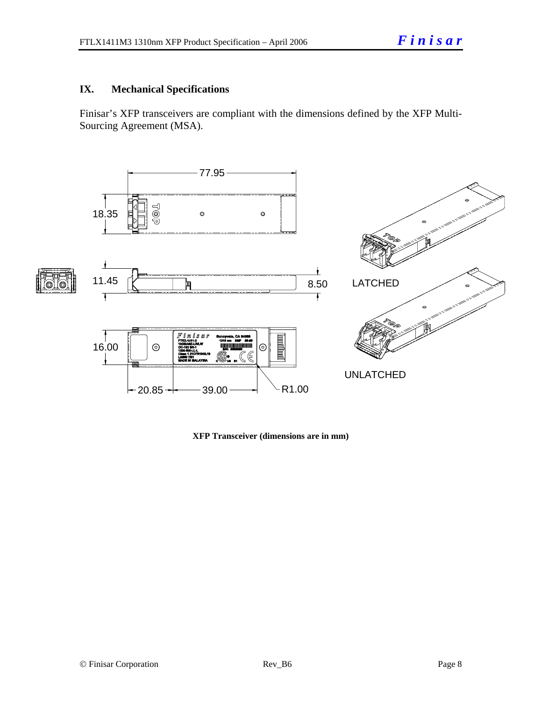#### **IX. Mechanical Specifications**

Finisar's XFP transceivers are compliant with the dimensions defined by the XFP Multi-Sourcing Agreement (MSA).



**XFP Transceiver (dimensions are in mm)**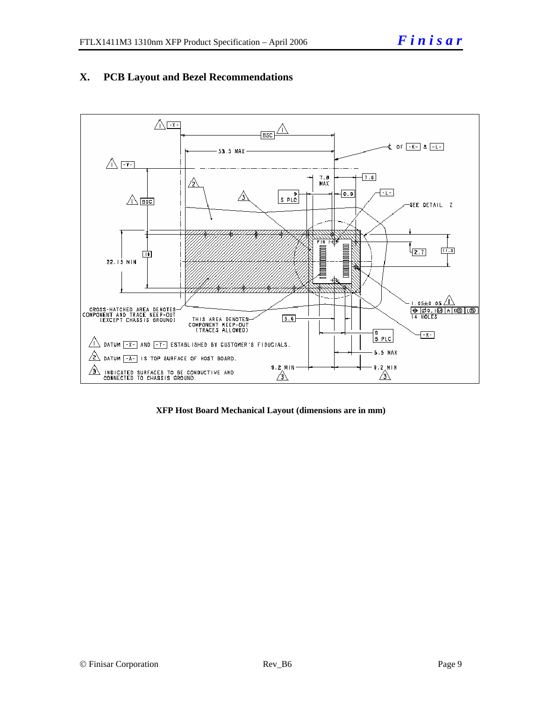

#### **X. PCB Layout and Bezel Recommendations**

**XFP Host Board Mechanical Layout (dimensions are in mm)**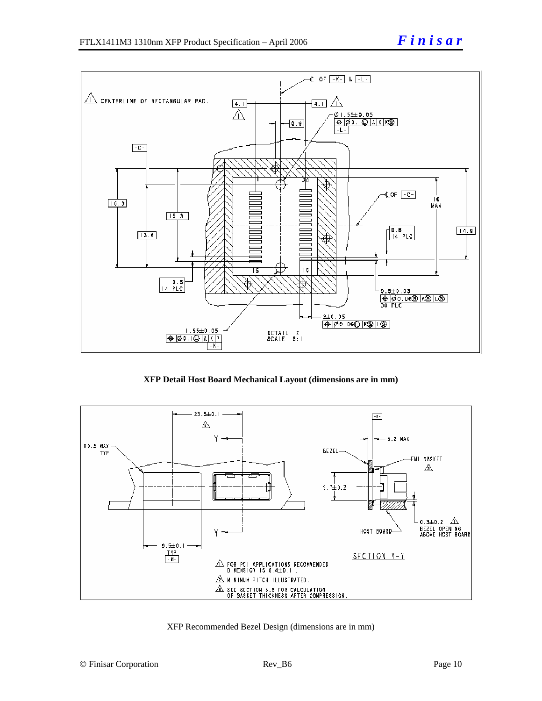

**XFP Detail Host Board Mechanical Layout (dimensions are in mm)**